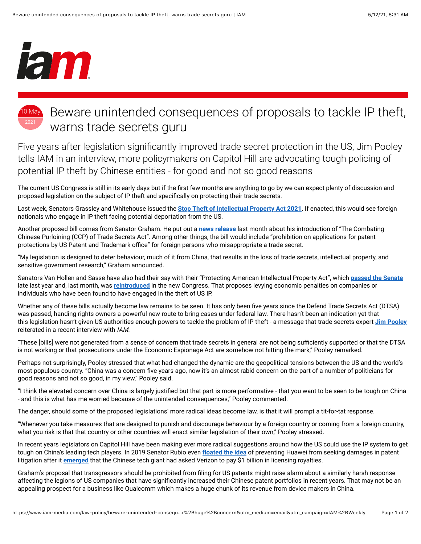

## 10 May 2021 Beware unintended consequences of proposals to tackle IP theft, warns trade secrets guru

Five years after legislation significantly improved trade secret protection in the US, Jim Pooley tells IAM in an interview, more policymakers on Capitol Hill are advocating tough policing of potential IP theft by Chinese entities - for good and not so good reasons

The current US Congress is still in its early days but if the first few months are anything to go by we can expect plenty of discussion and proposed legislation on the subject of IP theft and specifically on protecting their trade secrets.

Last week, Senators Grassley and Whitehouse issued the **[Stop Theft of Intellectual Property Act 2021](https://www.grassley.senate.gov/imo/media/doc/stop_theft_of_intellectual_property_act_of_2021_-_bill_text.pdf)**. If enacted, this would see foreign nationals who engage in IP theft facing potential deportation from the US.

Another proposed bill comes from Senator Graham. He put out a **[news release](https://www.lgraham.senate.gov/public/index.cfm/2021/4/graham-legislation-protects-america-from-chinese-efforts-to-steal-intellectual-property-trade-secrets-and-vital-national-security-research%23:~:text=WASHINGTON%20%E2%80%93%20U.S.%20Senator%20Lindsey%20Graham,designed%20to%20steal%20sensitive%20information)** last month about his introduction of "The Combating Chinese Purloining (CCP) of Trade Secrets Act". Among other things, the bill would include "prohibition on applications for patent protections by US Patent and Trademark office" for foreign persons who misappropriate a trade secret.

"My legislation is designed to deter behaviour, much of it from China, that results in the loss of trade secrets, intellectual property, and sensitive government research," Graham announced.

Senators Van Hollen and Sasse have also had their say with their "Protecting American Intellectual Property Act", which **[passed the Senate](https://www.vanhollen.senate.gov/news/press-releases/senate-passes-van-hollen-sasse-bill-to-punish-foreign-companies-individuals-for-ip-theft)** late last year and, last month, was **[reintroduced](https://www.vanhollen.senate.gov/news/press-releases/van-hollen-sasse-reintroduce-bill-to-punish-foreign-companies-individuals-for-ip-theft)** in the new Congress. That proposes levying economic penalties on companies or individuals who have been found to have engaged in the theft of US IP.

Whether any of these bills actually become law remains to be seen. It has only been five years since the Defend Trade Secrets Act (DTSA) was passed, handing rights owners a powerful new route to bring cases under federal law. There hasn't been an indication yet that this legislation hasn't given US authorities enough powers to tackle the problem of IP theft - a message that trade secrets expert **[Jim Pooley](https://pooley.com/biography/)** reiterated in a recent interview with IAM.

"These [bills] were not generated from a sense of concern that trade secrets in general are not being sufficiently supported or that the DTSA is not working or that prosecutions under the Economic Espionage Act are somehow not hitting the mark," Pooley remarked.

Perhaps not surprisingly, Pooley stressed that what had changed the dynamic are the geopolitical tensions between the US and the world's most populous country. "China was a concern five years ago, now it's an almost rabid concern on the part of a number of politicians for good reasons and not so good, in my view," Pooley said.

"I think the elevated concern over China is largely justified but that part is more performative - that you want to be seen to be tough on China - and this is what has me worried because of the unintended consequences," Pooley commented.

The danger, should some of the proposed legislations' more radical ideas become law, is that it will prompt a tit-for-tat response.

"Whenever you take measures that are designed to punish and discourage behaviour by a foreign country or coming from a foreign country, what you risk is that that country or other countries will enact similar legislation of their own," Pooley stressed.

In recent years legislators on Capitol Hill have been making ever more radical suggestions around how the US could use the IP system to get tough on China's leading tech players. In 2019 Senator Rubio even floated the idea of preventing Huawei from seeking damages in patent litigation after it **[emerged](https://www.reuters.com/article/us-usa-huawei-explainer/explainer-why-is-huawei-seeking-1-billion-patent-deal-with-verizon-idUSKCN1TF1BK)** that the Chinese tech giant had asked Verizon to pay \$1 billion in licensing royalties.

Graham's proposal that transgressors should be prohibited from filing for US patents might raise alarm about a similarly harsh response affecting the legions of US companies that have significantly increased their Chinese patent portfolios in recent years. That may not be an appealing prospect for a business like Qualcomm which makes a huge chunk of its revenue from device makers in China.